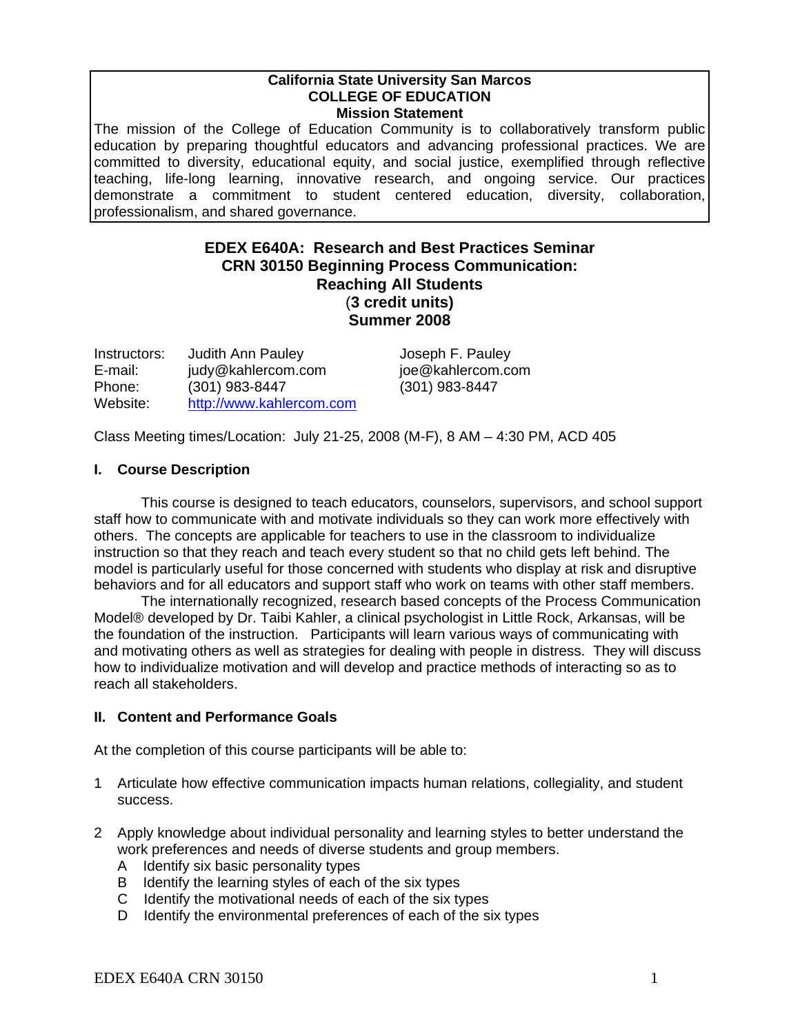#### **California State University San Marcos COLLEGE OF EDUCATION Mission Statement**

The mission of the College of Education Community is to collaboratively transform public education by preparing thoughtful educators and advancing professional practices. We are committed to diversity, educational equity, and social justice, exemplified through reflective teaching, life-long learning, innovative research, and ongoing service. Our practices demonstrate a commitment to student centered education, diversity, collaboration, professionalism, and shared governance.

# **EDEX E640A: Research and Best Practices Seminar CRN 30150 Beginning Process Communication: Reaching All Students** (**3 credit units) Summer 2008**

| Instructors: | <b>Judith Ann Pauley</b> |
|--------------|--------------------------|
| E-mail:      | judy@kahlercom.com       |
| Phone:       | (301) 983-8447           |
| Website:     | http://www.kahlercom.com |

Joseph F. Pauley ioe@kahlercom.com Phone: (301) 983-8447 (301) 983-8447

Class Meeting times/Location: July 21-25, 2008 (M-F), 8 AM – 4:30 PM, ACD 405

# **I. Course Description**

This course is designed to teach educators, counselors, supervisors, and school support staff how to communicate with and motivate individuals so they can work more effectively with others. The concepts are applicable for teachers to use in the classroom to individualize instruction so that they reach and teach every student so that no child gets left behind. The model is particularly useful for those concerned with students who display at risk and disruptive behaviors and for all educators and support staff who work on teams with other staff members.

The internationally recognized, research based concepts of the Process Communication Model® developed by Dr. Taibi Kahler, a clinical psychologist in Little Rock, Arkansas, will be the foundation of the instruction. Participants will learn various ways of communicating with and motivating others as well as strategies for dealing with people in distress. They will discuss how to individualize motivation and will develop and practice methods of interacting so as to reach all stakeholders.

#### **II. Content and Performance Goals**

At the completion of this course participants will be able to:

- 1 Articulate how effective communication impacts human relations, collegiality, and student success.
- 2 Apply knowledge about individual personality and learning styles to better understand the work preferences and needs of diverse students and group members.
	- A Identify six basic personality types
	- B Identify the learning styles of each of the six types
	- C Identify the motivational needs of each of the six types
	- D Identify the environmental preferences of each of the six types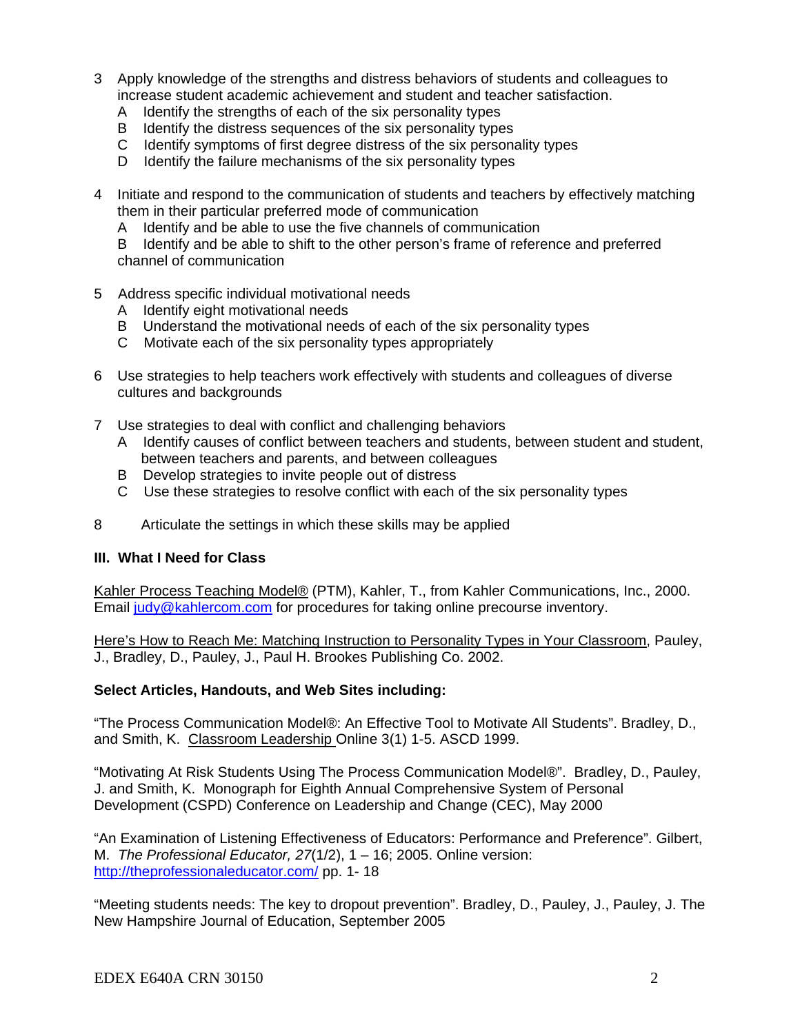- 3 Apply knowledge of the strengths and distress behaviors of students and colleagues to increase student academic achievement and student and teacher satisfaction.
	- A Identify the strengths of each of the six personality types
	- B Identify the distress sequences of the six personality types
	- C Identify symptoms of first degree distress of the six personality types
	- D Identify the failure mechanisms of the six personality types
- 4 Initiate and respond to the communication of students and teachers by effectively matching them in their particular preferred mode of communication
	- A Identify and be able to use the five channels of communication

 B Identify and be able to shift to the other person's frame of reference and preferred channel of communication

- 5 Address specific individual motivational needs
	- A Identify eight motivational needs
	- B Understand the motivational needs of each of the six personality types
	- C Motivate each of the six personality types appropriately
- 6 Use strategies to help teachers work effectively with students and colleagues of diverse cultures and backgrounds
- 7 Use strategies to deal with conflict and challenging behaviors
	- A Identify causes of conflict between teachers and students, between student and student, between teachers and parents, and between colleagues
	- B Develop strategies to invite people out of distress
	- C Use these strategies to resolve conflict with each of the six personality types
- 8 Articulate the settings in which these skills may be applied

#### **III. What I Need for Class**

Kahler Process Teaching Model® (PTM), Kahler, T., from Kahler Communications, Inc., 2000. Email judy@kahlercom.com for procedures for taking online precourse inventory.

Here's How to Reach Me: Matching Instruction to Personality Types in Your Classroom, Pauley, J., Bradley, D., Pauley, J., Paul H. Brookes Publishing Co. 2002.

# **Select Articles, Handouts, and Web Sites including:**

"The Process Communication Model®: An Effective Tool to Motivate All Students". Bradley, D., and Smith, K. Classroom Leadership Online 3(1) 1-5. ASCD 1999.

"Motivating At Risk Students Using The Process Communication Model®". Bradley, D., Pauley, J. and Smith, K. Monograph for Eighth Annual Comprehensive System of Personal Development (CSPD) Conference on Leadership and Change (CEC), May 2000

"An Examination of Listening Effectiveness of Educators: Performance and Preference". Gilbert, M. *The Professional Educator, 27*(1/2), 1 – 16; 2005. Online version: http://theprofessionaleducator.com/ pp. 1- 18

"Meeting students needs: The key to dropout prevention". Bradley, D., Pauley, J., Pauley, J. The New Hampshire Journal of Education, September 2005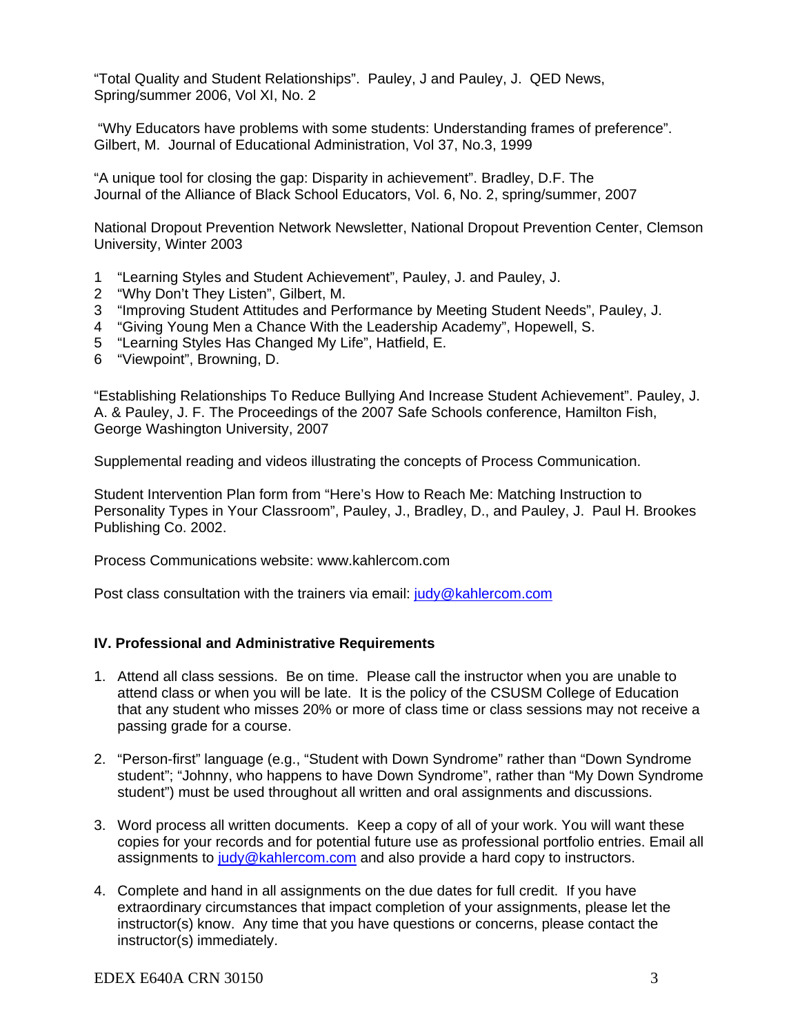"Total Quality and Student Relationships". Pauley, J and Pauley, J. QED News, Spring/summer 2006, Vol XI, No. 2

 "Why Educators have problems with some students: Understanding frames of preference". Gilbert, M. Journal of Educational Administration, Vol 37, No.3, 1999

"A unique tool for closing the gap: Disparity in achievement". Bradley, D.F. The Journal of the Alliance of Black School Educators, Vol. 6, No. 2, spring/summer, 2007

National Dropout Prevention Network Newsletter, National Dropout Prevention Center, Clemson University, Winter 2003

- 1 "Learning Styles and Student Achievement", Pauley, J. and Pauley, J.
- 2 "Why Don't They Listen", Gilbert, M.
- 3 "Improving Student Attitudes and Performance by Meeting Student Needs", Pauley, J.
- 4 "Giving Young Men a Chance With the Leadership Academy", Hopewell, S.
- 5 "Learning Styles Has Changed My Life", Hatfield, E.
- 6 "Viewpoint", Browning, D.

"Establishing Relationships To Reduce Bullying And Increase Student Achievement". Pauley, J. A. & Pauley, J. F. The Proceedings of the 2007 Safe Schools conference, Hamilton Fish, George Washington University, 2007

Supplemental reading and videos illustrating the concepts of Process Communication.

Student Intervention Plan form from "Here's How to Reach Me: Matching Instruction to Personality Types in Your Classroom", Pauley, J., Bradley, D., and Pauley, J. Paul H. Brookes Publishing Co. 2002.

Process Communications website: www.kahlercom.com

Post class consultation with the trainers via email: judy@kahlercom.com

# **IV. Professional and Administrative Requirements**

- 1. Attend all class sessions. Be on time. Please call the instructor when you are unable to attend class or when you will be late. It is the policy of the CSUSM College of Education that any student who misses 20% or more of class time or class sessions may not receive a passing grade for a course.
- 2. "Person-first" language (e.g., "Student with Down Syndrome" rather than "Down Syndrome student"; "Johnny, who happens to have Down Syndrome", rather than "My Down Syndrome student") must be used throughout all written and oral assignments and discussions.
- 3. Word process all written documents. Keep a copy of all of your work. You will want these copies for your records and for potential future use as professional portfolio entries. Email all assignments to judy@kahlercom.com and also provide a hard copy to instructors.
- 4. Complete and hand in all assignments on the due dates for full credit. If you have extraordinary circumstances that impact completion of your assignments, please let the instructor(s) know. Any time that you have questions or concerns, please contact the instructor(s) immediately.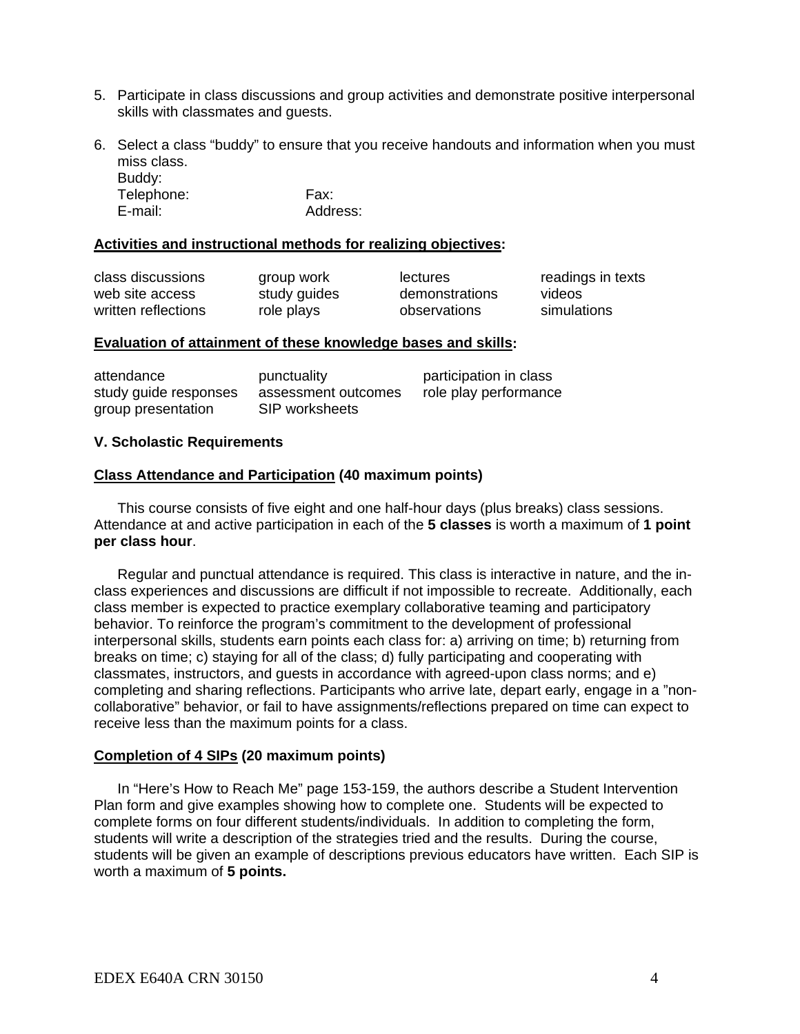- 5. Participate in class discussions and group activities and demonstrate positive interpersonal skills with classmates and guests.
- 6. Select a class "buddy" to ensure that you receive handouts and information when you must miss class.

 Buddy: Telephone: Fax: E-mail: Address:

#### **Activities and instructional methods for realizing objectives:**

| class discussions   | group work   | lectures       | readings in texts |
|---------------------|--------------|----------------|-------------------|
| web site access     | study guides | demonstrations | videos            |
| written reflections | role plays   | observations   | simulations       |
|                     |              |                |                   |

#### **Evaluation of attainment of these knowledge bases and skills:**

| attendance            | punctuality         | participation in class |
|-----------------------|---------------------|------------------------|
| study guide responses | assessment outcomes | role play performance  |
| group presentation    | SIP worksheets      |                        |

#### **V. Scholastic Requirements**

#### **Class Attendance and Participation (40 maximum points)**

This course consists of five eight and one half-hour days (plus breaks) class sessions. Attendance at and active participation in each of the **5 classes** is worth a maximum of **1 point per class hour**.

 Regular and punctual attendance is required. This class is interactive in nature, and the inclass experiences and discussions are difficult if not impossible to recreate. Additionally, each class member is expected to practice exemplary collaborative teaming and participatory behavior. To reinforce the program's commitment to the development of professional interpersonal skills, students earn points each class for: a) arriving on time; b) returning from breaks on time; c) staying for all of the class; d) fully participating and cooperating with classmates, instructors, and guests in accordance with agreed-upon class norms; and e) completing and sharing reflections. Participants who arrive late, depart early, engage in a "noncollaborative" behavior, or fail to have assignments/reflections prepared on time can expect to receive less than the maximum points for a class.

#### **Completion of 4 SIPs (20 maximum points)**

In "Here's How to Reach Me" page 153-159, the authors describe a Student Intervention Plan form and give examples showing how to complete one. Students will be expected to complete forms on four different students/individuals. In addition to completing the form, students will write a description of the strategies tried and the results. During the course, students will be given an example of descriptions previous educators have written. Each SIP is worth a maximum of **5 points.**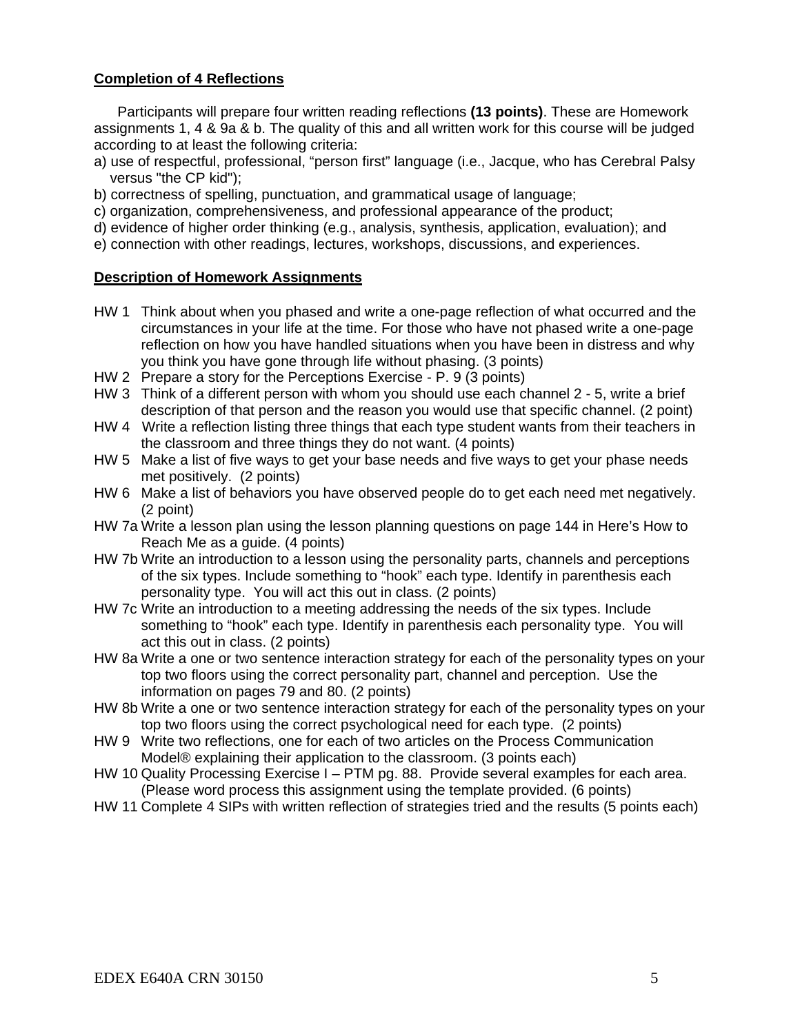# **Completion of 4 Reflections**

Participants will prepare four written reading reflections **(13 points)**. These are Homework assignments 1, 4 & 9a & b. The quality of this and all written work for this course will be judged according to at least the following criteria:

- a) use of respectful, professional, "person first" language (i.e., Jacque, who has Cerebral Palsy versus "the CP kid");
- b) correctness of spelling, punctuation, and grammatical usage of language;
- c) organization, comprehensiveness, and professional appearance of the product;
- d) evidence of higher order thinking (e.g., analysis, synthesis, application, evaluation); and
- e) connection with other readings, lectures, workshops, discussions, and experiences.

#### **Description of Homework Assignments**

- HW 1 Think about when you phased and write a one-page reflection of what occurred and the circumstances in your life at the time. For those who have not phased write a one-page reflection on how you have handled situations when you have been in distress and why you think you have gone through life without phasing. (3 points)
- HW 2 Prepare a story for the Perceptions Exercise P. 9 (3 points)
- HW 3 Think of a different person with whom you should use each channel 2 5, write a brief description of that person and the reason you would use that specific channel. (2 point)
- HW 4 Write a reflection listing three things that each type student wants from their teachers in the classroom and three things they do not want. (4 points)
- HW 5 Make a list of five ways to get your base needs and five ways to get your phase needs met positively. (2 points)
- HW 6 Make a list of behaviors you have observed people do to get each need met negatively. (2 point)
- HW 7a Write a lesson plan using the lesson planning questions on page 144 in Here's How to Reach Me as a guide. (4 points)
- HW 7b Write an introduction to a lesson using the personality parts, channels and perceptions of the six types. Include something to "hook" each type. Identify in parenthesis each personality type. You will act this out in class. (2 points)
- HW 7c Write an introduction to a meeting addressing the needs of the six types. Include something to "hook" each type. Identify in parenthesis each personality type. You will act this out in class. (2 points)
- HW 8a Write a one or two sentence interaction strategy for each of the personality types on your top two floors using the correct personality part, channel and perception. Use the information on pages 79 and 80. (2 points)
- HW 8b Write a one or two sentence interaction strategy for each of the personality types on your top two floors using the correct psychological need for each type. (2 points)
- HW 9 Write two reflections, one for each of two articles on the Process Communication Model® explaining their application to the classroom. (3 points each)
- HW 10 Quality Processing Exercise I PTM pg. 88. Provide several examples for each area. (Please word process this assignment using the template provided. (6 points)
- HW 11 Complete 4 SIPs with written reflection of strategies tried and the results (5 points each)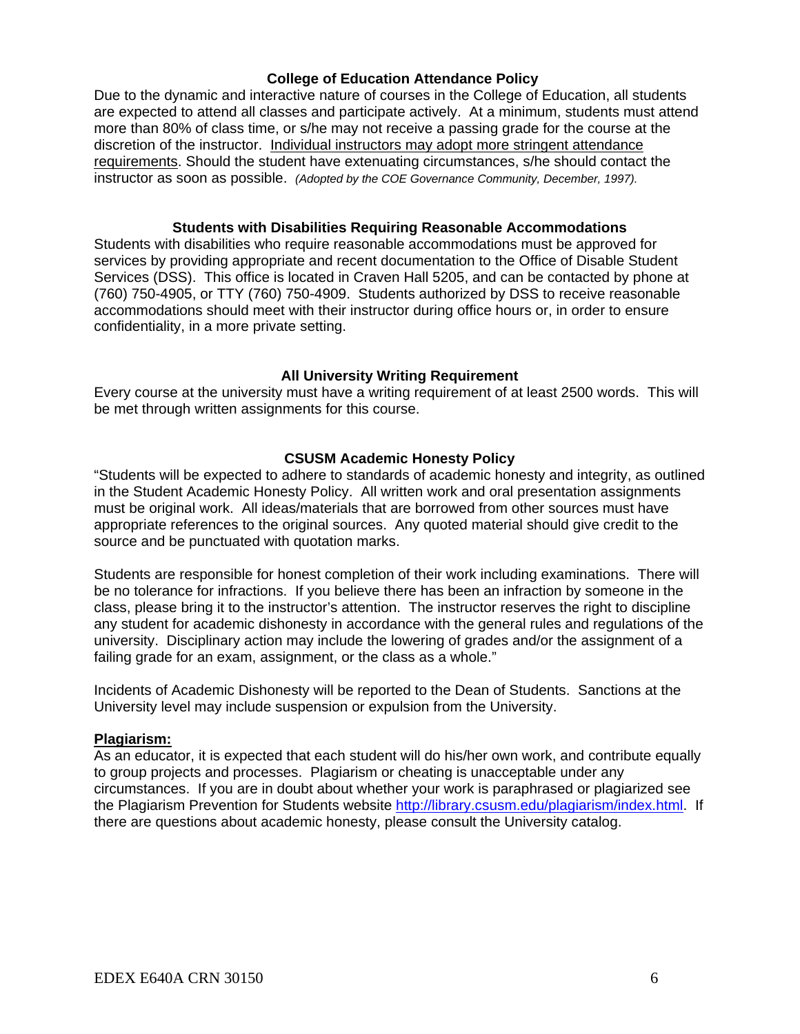# **College of Education Attendance Policy**

Due to the dynamic and interactive nature of courses in the College of Education, all students are expected to attend all classes and participate actively. At a minimum, students must attend more than 80% of class time, or s/he may not receive a passing grade for the course at the discretion of the instructor. Individual instructors may adopt more stringent attendance requirements. Should the student have extenuating circumstances, s/he should contact the instructor as soon as possible. *(Adopted by the COE Governance Community, December, 1997).*

### **Students with Disabilities Requiring Reasonable Accommodations**

Students with disabilities who require reasonable accommodations must be approved for services by providing appropriate and recent documentation to the Office of Disable Student Services (DSS). This office is located in Craven Hall 5205, and can be contacted by phone at (760) 750-4905, or TTY (760) 750-4909. Students authorized by DSS to receive reasonable accommodations should meet with their instructor during office hours or, in order to ensure confidentiality, in a more private setting.

# **All University Writing Requirement**

Every course at the university must have a writing requirement of at least 2500 words. This will be met through written assignments for this course.

# **CSUSM Academic Honesty Policy**

"Students will be expected to adhere to standards of academic honesty and integrity, as outlined in the Student Academic Honesty Policy. All written work and oral presentation assignments must be original work. All ideas/materials that are borrowed from other sources must have appropriate references to the original sources. Any quoted material should give credit to the source and be punctuated with quotation marks.

Students are responsible for honest completion of their work including examinations. There will be no tolerance for infractions. If you believe there has been an infraction by someone in the class, please bring it to the instructor's attention. The instructor reserves the right to discipline any student for academic dishonesty in accordance with the general rules and regulations of the university. Disciplinary action may include the lowering of grades and/or the assignment of a failing grade for an exam, assignment, or the class as a whole."

Incidents of Academic Dishonesty will be reported to the Dean of Students. Sanctions at the University level may include suspension or expulsion from the University.

#### **Plagiarism:**

As an educator, it is expected that each student will do his/her own work, and contribute equally to group projects and processes. Plagiarism or cheating is unacceptable under any circumstances. If you are in doubt about whether your work is paraphrased or plagiarized see the Plagiarism Prevention for Students website http://library.csusm.edu/plagiarism/index.html. If there are questions about academic honesty, please consult the University catalog.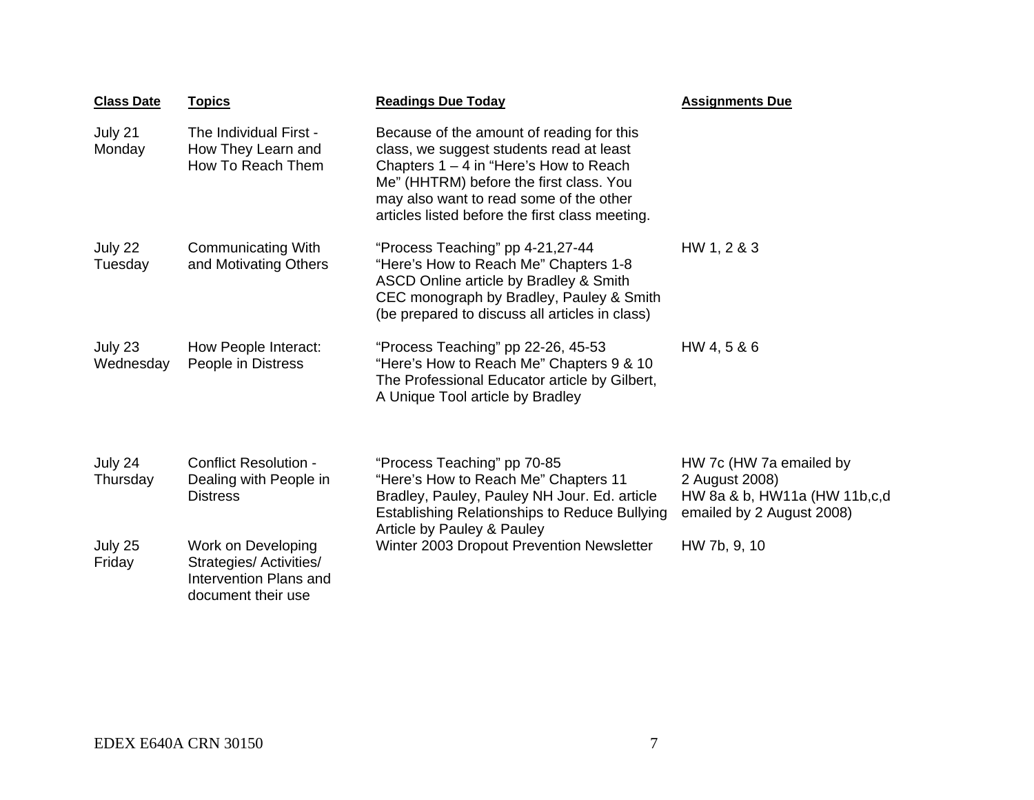| <b>Class Date</b>    | <b>Topics</b>                                                                                 | <b>Readings Due Today</b>                                                                                                                                                                                                                                                   | <b>Assignments Due</b>                                                                                 |
|----------------------|-----------------------------------------------------------------------------------------------|-----------------------------------------------------------------------------------------------------------------------------------------------------------------------------------------------------------------------------------------------------------------------------|--------------------------------------------------------------------------------------------------------|
| July 21<br>Monday    | The Individual First -<br>How They Learn and<br>How To Reach Them                             | Because of the amount of reading for this<br>class, we suggest students read at least<br>Chapters $1 - 4$ in "Here's How to Reach"<br>Me" (HHTRM) before the first class. You<br>may also want to read some of the other<br>articles listed before the first class meeting. |                                                                                                        |
| July 22<br>Tuesday   | <b>Communicating With</b><br>and Motivating Others                                            | "Process Teaching" pp 4-21,27-44<br>"Here's How to Reach Me" Chapters 1-8<br>ASCD Online article by Bradley & Smith<br>CEC monograph by Bradley, Pauley & Smith<br>(be prepared to discuss all articles in class)                                                           | HW 1, 2 & 3                                                                                            |
| July 23<br>Wednesday | How People Interact:<br>People in Distress                                                    | "Process Teaching" pp 22-26, 45-53<br>"Here's How to Reach Me" Chapters 9 & 10<br>The Professional Educator article by Gilbert,<br>A Unique Tool article by Bradley                                                                                                         | HW 4, 5 & 6                                                                                            |
| July 24<br>Thursday  | <b>Conflict Resolution -</b><br>Dealing with People in<br><b>Distress</b>                     | "Process Teaching" pp 70-85<br>"Here's How to Reach Me" Chapters 11<br>Bradley, Pauley, Pauley NH Jour. Ed. article<br><b>Establishing Relationships to Reduce Bullying</b><br>Article by Pauley & Pauley                                                                   | HW 7c (HW 7a emailed by<br>2 August 2008)<br>HW 8a & b, HW11a (HW 11b,c,d<br>emailed by 2 August 2008) |
| July 25<br>Friday    | Work on Developing<br>Strategies/ Activities/<br>Intervention Plans and<br>document their use | Winter 2003 Dropout Prevention Newsletter                                                                                                                                                                                                                                   | HW 7b, 9, 10                                                                                           |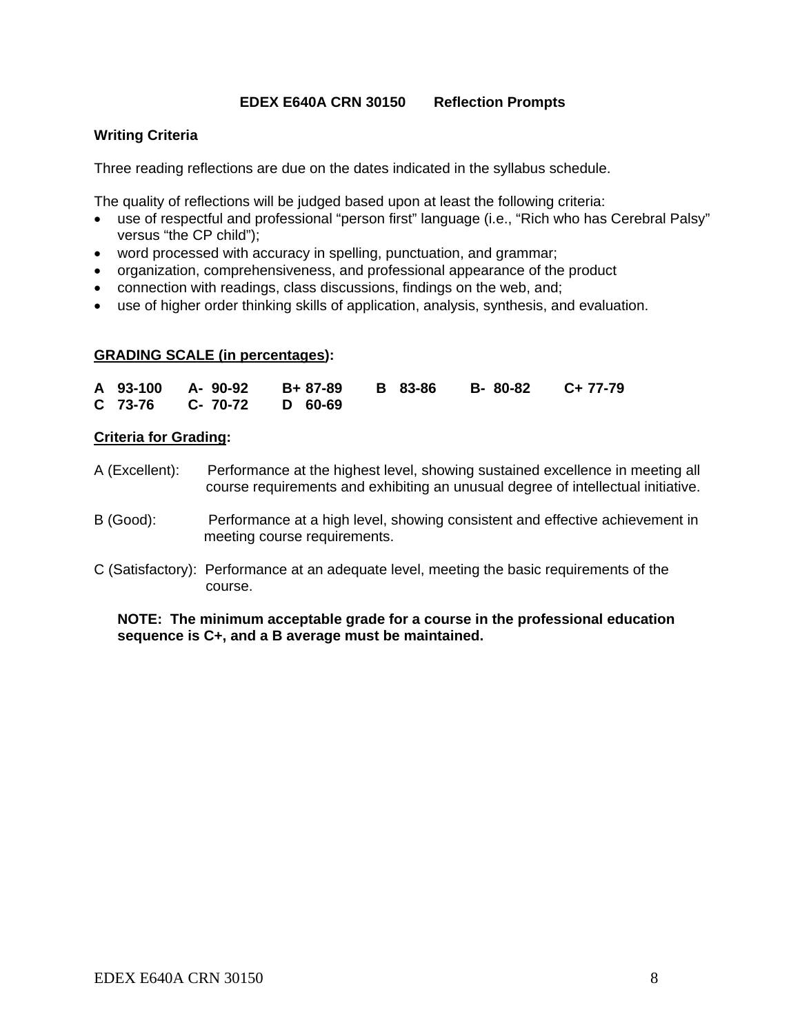# **EDEX E640A CRN 30150 Reflection Prompts**

# **Writing Criteria**

Three reading reflections are due on the dates indicated in the syllabus schedule.

The quality of reflections will be judged based upon at least the following criteria:

- use of respectful and professional "person first" language (i.e., "Rich who has Cerebral Palsy" versus "the CP child");
- word processed with accuracy in spelling, punctuation, and grammar;
- organization, comprehensiveness, and professional appearance of the product
- connection with readings, class discussions, findings on the web, and;
- use of higher order thinking skills of application, analysis, synthesis, and evaluation.

# **GRADING SCALE (in percentages):**

|  |                          |  | A 93-100 A-90-92 B+87-89 B 83-86 B-80-82 C+77-79 |  |
|--|--------------------------|--|--------------------------------------------------|--|
|  | C 73-76 C- 70-72 D 60-69 |  |                                                  |  |

#### **Criteria for Grading:**

- A (Excellent): Performance at the highest level, showing sustained excellence in meeting all course requirements and exhibiting an unusual degree of intellectual initiative.
- B (Good): Performance at a high level, showing consistent and effective achievement in meeting course requirements.
- C (Satisfactory): Performance at an adequate level, meeting the basic requirements of the course.

**NOTE: The minimum acceptable grade for a course in the professional education sequence is C+, and a B average must be maintained.**